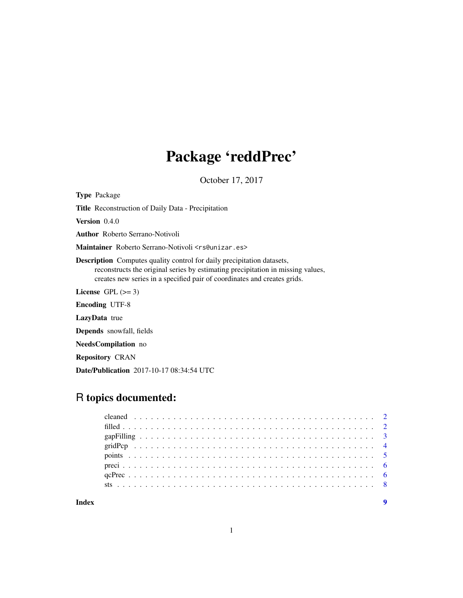## Package 'reddPrec'

October 17, 2017

Type Package

Title Reconstruction of Daily Data - Precipitation

Version 0.4.0

Author Roberto Serrano-Notivoli

Maintainer Roberto Serrano-Notivoli <rs@unizar.es>

Description Computes quality control for daily precipitation datasets, reconstructs the original series by estimating precipitation in missing values, creates new series in a specified pair of coordinates and creates grids.

License GPL  $(>= 3)$ 

Encoding UTF-8

LazyData true

Depends snowfall, fields

NeedsCompilation no

Repository CRAN

Date/Publication 2017-10-17 08:34:54 UTC

### R topics documented: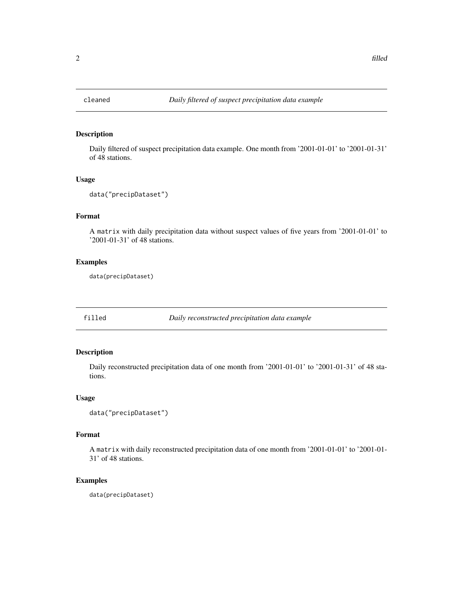<span id="page-1-0"></span>

#### Description

Daily filtered of suspect precipitation data example. One month from '2001-01-01' to '2001-01-31' of 48 stations.

#### Usage

```
data("precipDataset")
```
#### Format

A matrix with daily precipitation data without suspect values of five years from '2001-01-01' to '2001-01-31' of 48 stations.

#### Examples

data(precipDataset)

filled *Daily reconstructed precipitation data example*

#### Description

Daily reconstructed precipitation data of one month from '2001-01-01' to '2001-01-31' of 48 stations.

#### Usage

```
data("precipDataset")
```
#### Format

A matrix with daily reconstructed precipitation data of one month from '2001-01-01' to '2001-01- 31' of 48 stations.

#### Examples

data(precipDataset)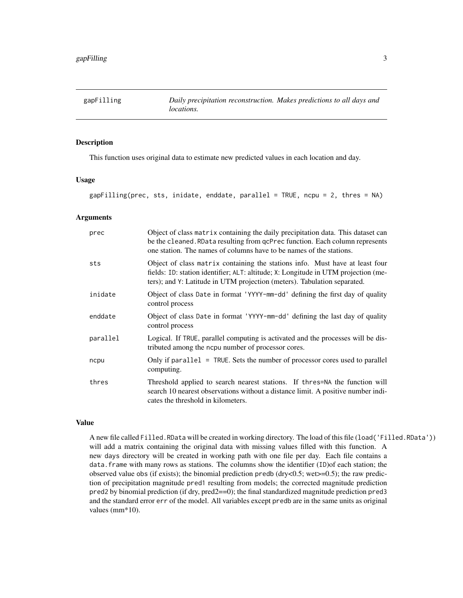<span id="page-2-0"></span>gapFilling *Daily precipitation reconstruction. Makes predictions to all days and locations.*

#### Description

This function uses original data to estimate new predicted values in each location and day.

#### Usage

gapFilling(prec, sts, inidate, enddate, parallel = TRUE, ncpu = 2, thres = NA)

#### Arguments

| prec     | Object of class matrix containing the daily precipitation data. This dataset can<br>be the cleaned. RData resulting from qcPrec function. Each column represents<br>one station. The names of columns have to be names of the stations.        |
|----------|------------------------------------------------------------------------------------------------------------------------------------------------------------------------------------------------------------------------------------------------|
| sts      | Object of class matrix containing the stations info. Must have at least four<br>fields: ID: station identifier; ALT: altitude; X: Longitude in UTM projection (me-<br>ters); and Y: Latitude in UTM projection (meters). Tabulation separated. |
| inidate  | Object of class Date in format 'YYYY-mm-dd' defining the first day of quality<br>control process                                                                                                                                               |
| enddate  | Object of class Date in format 'YYYY-mm-dd' defining the last day of quality<br>control process                                                                                                                                                |
| parallel | Logical. If TRUE, parallel computing is activated and the processes will be dis-<br>tributed among the ncpu number of processor cores.                                                                                                         |
| ncpu     | Only if parallel = TRUE. Sets the number of processor cores used to parallel<br>computing.                                                                                                                                                     |
| thres    | Threshold applied to search nearest stations. If thres=NA the function will<br>search 10 nearest observations without a distance limit. A positive number indi-<br>cates the threshold in kilometers.                                          |

#### Value

A new file called Filled.RData will be created in working directory. The load of this file (load('Filled.RData')) will add a matrix containing the original data with missing values filled with this function. A new days directory will be created in working path with one file per day. Each file contains a data.frame with many rows as stations. The columns show the identifier (ID)of each station; the observed value obs (if exists); the binomial prediction predb ( $\frac{dy}{dx}$ , wet $\geq$  0.5); the raw prediction of precipitation magnitude pred1 resulting from models; the corrected magnitude prediction pred2 by binomial prediction (if dry, pred2==0); the final standardized magnitude prediction pred3 and the standard error err of the model. All variables except predb are in the same units as original values (mm\*10).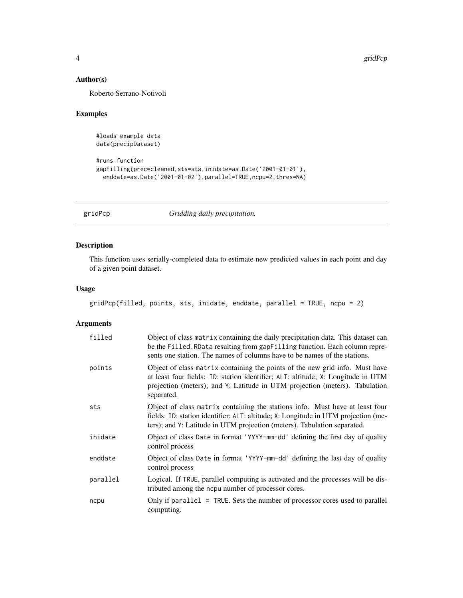#### <span id="page-3-0"></span>Author(s)

Roberto Serrano-Notivoli

#### Examples

```
#loads example data
data(precipDataset)
```

```
#runs function
gapFilling(prec=cleaned,sts=sts,inidate=as.Date('2001-01-01'),
 enddate=as.Date('2001-01-02'),parallel=TRUE,ncpu=2,thres=NA)
```
gridPcp *Gridding daily precipitation.*

#### Description

This function uses serially-completed data to estimate new predicted values in each point and day of a given point dataset.

#### Usage

```
gridPcp(filled, points, sts, inidate, enddate, parallel = TRUE, ncpu = 2)
```
#### Arguments

| filled   | Object of class matrix containing the daily precipitation data. This dataset can<br>be the Filled. RData resulting from gapFilling function. Each column repre-<br>sents one station. The names of columns have to be names of the stations.                  |
|----------|---------------------------------------------------------------------------------------------------------------------------------------------------------------------------------------------------------------------------------------------------------------|
| points   | Object of class matrix containing the points of the new grid info. Must have<br>at least four fields: ID: station identifier; ALT: altitude; X: Longitude in UTM<br>projection (meters); and Y: Latitude in UTM projection (meters). Tabulation<br>separated. |
| sts      | Object of class matrix containing the stations info. Must have at least four<br>fields: ID: station identifier; ALT: altitude; X: Longitude in UTM projection (me-<br>ters); and Y: Latitude in UTM projection (meters). Tabulation separated.                |
| inidate  | Object of class Date in format 'YYYY-mm-dd' defining the first day of quality<br>control process                                                                                                                                                              |
| enddate  | Object of class Date in format 'YYYY-mm-dd' defining the last day of quality<br>control process                                                                                                                                                               |
| parallel | Logical. If TRUE, parallel computing is activated and the processes will be dis-<br>tributed among the ncpu number of processor cores.                                                                                                                        |
| ncpu     | Only if parallel $=$ TRUE. Sets the number of processor cores used to parallel<br>computing.                                                                                                                                                                  |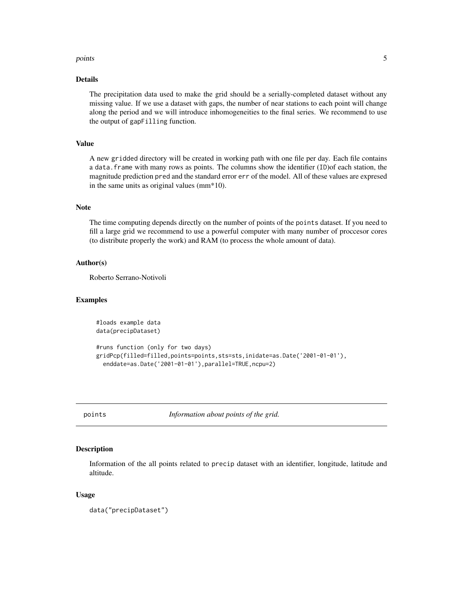#### <span id="page-4-0"></span>points 5

#### Details

The precipitation data used to make the grid should be a serially-completed dataset without any missing value. If we use a dataset with gaps, the number of near stations to each point will change along the period and we will introduce inhomogeneities to the final series. We recommend to use the output of gapFilling function.

#### Value

A new gridded directory will be created in working path with one file per day. Each file contains a data.frame with many rows as points. The columns show the identifier (ID)of each station, the magnitude prediction pred and the standard error err of the model. All of these values are expresed in the same units as original values (mm\*10).

#### Note

The time computing depends directly on the number of points of the points dataset. If you need to fill a large grid we recommend to use a powerful computer with many number of proccesor cores (to distribute properly the work) and RAM (to process the whole amount of data).

#### Author(s)

Roberto Serrano-Notivoli

#### Examples

```
#loads example data
data(precipDataset)
```

```
#runs function (only for two days)
gridPcp(filled=filled,points=points,sts=sts,inidate=as.Date('2001-01-01'),
  enddate=as.Date('2001-01-01'),parallel=TRUE,ncpu=2)
```
points *Information about points of the grid.*

#### Description

Information of the all points related to precip dataset with an identifier, longitude, latitude and altitude.

#### Usage

data("precipDataset")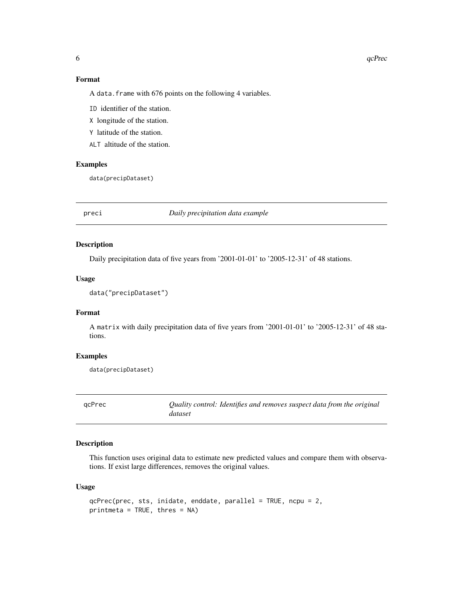#### 6 qcPrec

#### Format

A data. frame with 676 points on the following 4 variables.

ID identifier of the station.

X longitude of the station.

Y latitude of the station.

ALT altitude of the station.

#### Examples

data(precipDataset)

preci *Daily precipitation data example*

#### Description

Daily precipitation data of five years from '2001-01-01' to '2005-12-31' of 48 stations.

#### Usage

```
data("precipDataset")
```
#### Format

A matrix with daily precipitation data of five years from '2001-01-01' to '2005-12-31' of 48 stations.

#### Examples

```
data(precipDataset)
```
qcPrec *Quality control: Identifies and removes suspect data from the original dataset*

#### Description

This function uses original data to estimate new predicted values and compare them with observations. If exist large differences, removes the original values.

#### Usage

```
qcPrec(prec, sts, inidate, enddate, parallel = TRUE, ncpu = 2,
printmeta = TRUE, thres = NA)
```
<span id="page-5-0"></span>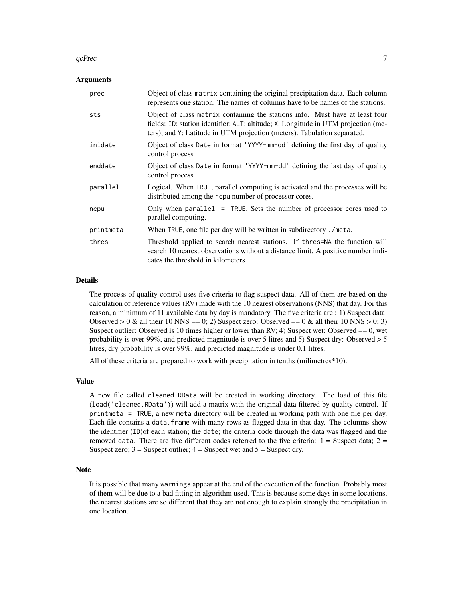#### $q$ cPrec  $\overline{7}$

#### Arguments

| prec      | Object of class matrix containing the original precipitation data. Each column<br>represents one station. The names of columns have to be names of the stations.                                                                               |
|-----------|------------------------------------------------------------------------------------------------------------------------------------------------------------------------------------------------------------------------------------------------|
| sts       | Object of class matrix containing the stations info. Must have at least four<br>fields: ID: station identifier; ALT: altitude; X: Longitude in UTM projection (me-<br>ters); and Y: Latitude in UTM projection (meters). Tabulation separated. |
| inidate   | Object of class Date in format 'YYYY-mm-dd' defining the first day of quality<br>control process                                                                                                                                               |
| enddate   | Object of class Date in format 'YYYY-mm-dd' defining the last day of quality<br>control process                                                                                                                                                |
| parallel  | Logical. When TRUE, parallel computing is activated and the processes will be<br>distributed among the nopu number of processor cores.                                                                                                         |
| ncpu      | Only when parallel = TRUE. Sets the number of processor cores used to<br>parallel computing.                                                                                                                                                   |
| printmeta | When TRUE, one file per day will be written in subdirectory./meta.                                                                                                                                                                             |
| thres     | Threshold applied to search nearest stations. If thres=NA the function will<br>search 10 nearest observations without a distance limit. A positive number indi-<br>cates the threshold in kilometers.                                          |

#### Details

The process of quality control uses five criteria to flag suspect data. All of them are based on the calculation of reference values (RV) made with the 10 nearest observations (NNS) that day. For this reason, a minimum of 11 available data by day is mandatory. The five criteria are : 1) Suspect data: Observed  $> 0$  & all their 10 NNS = 0; 2) Suspect zero: Observed =  $= 0$  & all their 10 NNS  $> 0$ ; 3) Suspect outlier: Observed is 10 times higher or lower than RV; 4) Suspect wet: Observed  $= 0$ , wet probability is over 99%, and predicted magnitude is over 5 litres and 5) Suspect dry: Observed > 5 litres, dry probability is over 99%, and predicted magnitude is under 0.1 litres.

All of these criteria are prepared to work with precipitation in tenths (milimetres\*10).

#### Value

A new file called cleaned.RData will be created in working directory. The load of this file (load('cleaned.RData')) will add a matrix with the original data filtered by quality control. If printmeta = TRUE, a new meta directory will be created in working path with one file per day. Each file contains a data.frame with many rows as flagged data in that day. The columns show the identifier (ID)of each station; the date; the criteria code through the data was flagged and the removed data. There are five different codes referred to the five criteria:  $1 =$  Suspect data;  $2 =$ Suspect zero;  $3 =$  Suspect outlier;  $4 =$  Suspect wet and  $5 =$  Suspect dry.

#### Note

It is possible that many warnings appear at the end of the execution of the function. Probably most of them will be due to a bad fitting in algorithm used. This is because some days in some locations, the nearest stations are so different that they are not enough to explain strongly the precipitation in one location.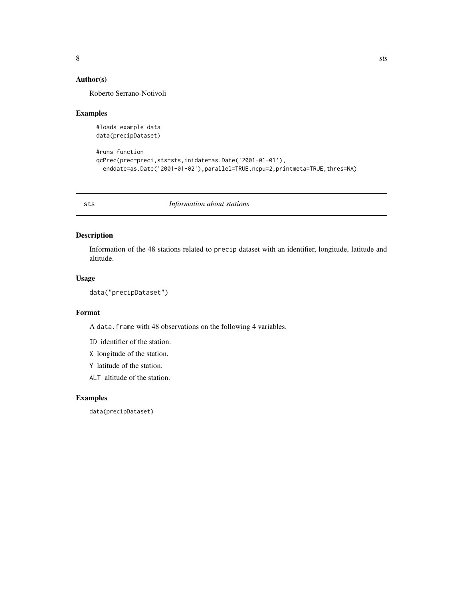#### <span id="page-7-0"></span>Author(s)

Roberto Serrano-Notivoli

#### Examples

```
#loads example data
data(precipDataset)
```

```
#runs function
qcPrec(prec=preci,sts=sts,inidate=as.Date('2001-01-01'),
  enddate=as.Date('2001-01-02'),parallel=TRUE,ncpu=2,printmeta=TRUE,thres=NA)
```
sts *Information about stations*

#### Description

Information of the 48 stations related to precip dataset with an identifier, longitude, latitude and altitude.

#### Usage

```
data("precipDataset")
```
#### Format

A data.frame with 48 observations on the following 4 variables.

ID identifier of the station.

- X longitude of the station.
- Y latitude of the station.
- ALT altitude of the station.

#### Examples

data(precipDataset)